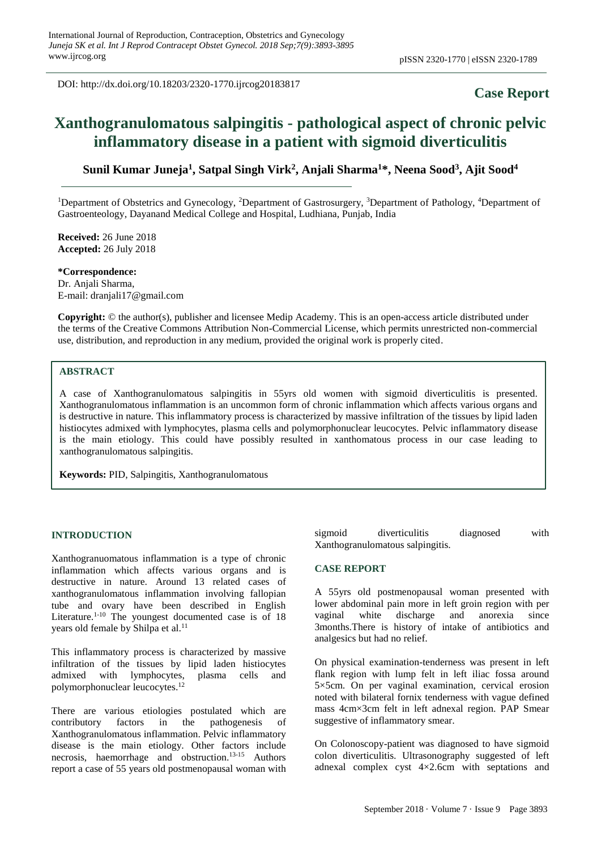DOI: http://dx.doi.org/10.18203/2320-1770.ijrcog20183817

# **Case Report**

# **Xanthogranulomatous salpingitis - pathological aspect of chronic pelvic inflammatory disease in a patient with sigmoid diverticulitis**

**Sunil Kumar Juneja<sup>1</sup> , Satpal Singh Virk<sup>2</sup> , Anjali Sharma<sup>1</sup>\*, Neena Sood<sup>3</sup> , Ajit Sood<sup>4</sup>**

<sup>1</sup>Department of Obstetrics and Gynecology, <sup>2</sup>Department of Gastrosurgery, <sup>3</sup>Department of Pathology, <sup>4</sup>Department of Gastroenteology, Dayanand Medical College and Hospital, Ludhiana, Punjab, India

**Received:** 26 June 2018 **Accepted:** 26 July 2018

**\*Correspondence:** Dr. Anjali Sharma, E-mail: dranjali17@gmail.com

**Copyright:** © the author(s), publisher and licensee Medip Academy. This is an open-access article distributed under the terms of the Creative Commons Attribution Non-Commercial License, which permits unrestricted non-commercial use, distribution, and reproduction in any medium, provided the original work is properly cited.

### **ABSTRACT**

A case of Xanthogranulomatous salpingitis in 55yrs old women with sigmoid diverticulitis is presented. Xanthogranulomatous inflammation is an uncommon form of chronic inflammation which affects various organs and is destructive in nature. This inflammatory process is characterized by massive infiltration of the tissues by lipid laden histiocytes admixed with lymphocytes, plasma cells and polymorphonuclear leucocytes. Pelvic inflammatory disease is the main etiology. This could have possibly resulted in xanthomatous process in our case leading to xanthogranulomatous salpingitis.

**Keywords:** PID, Salpingitis, Xanthogranulomatous

#### **INTRODUCTION**

Xanthogranuomatous inflammation is a type of chronic inflammation which affects various organs and is destructive in nature. Around 13 related cases of xanthogranulomatous inflammation involving fallopian tube and ovary have been described in English Literature.<sup>1-10</sup> The youngest documented case is of  $18$ years old female by Shilpa et al.<sup>11</sup>

This inflammatory process is characterized by massive infiltration of the tissues by lipid laden histiocytes admixed with lymphocytes, plasma cells and polymorphonuclear leucocytes. 12

There are various etiologies postulated which are contributory factors in the pathogenesis of Xanthogranulomatous inflammation. Pelvic inflammatory disease is the main etiology. Other factors include necrosis, haemorrhage and obstruction. 13-15 Authors report a case of 55 years old postmenopausal woman with sigmoid diverticulitis diagnosed with Xanthogranulomatous salpingitis.

#### **CASE REPORT**

A 55yrs old postmenopausal woman presented with lower abdominal pain more in left groin region with per vaginal white discharge and anorexia since 3months.There is history of intake of antibiotics and analgesics but had no relief.

On physical examination-tenderness was present in left flank region with lump felt in left iliac fossa around 5×5cm. On per vaginal examination, cervical erosion noted with bilateral fornix tenderness with vague defined mass 4cm×3cm felt in left adnexal region. PAP Smear suggestive of inflammatory smear.

On Colonoscopy-patient was diagnosed to have sigmoid colon diverticulitis. Ultrasonography suggested of left adnexal complex cyst 4×2.6cm with septations and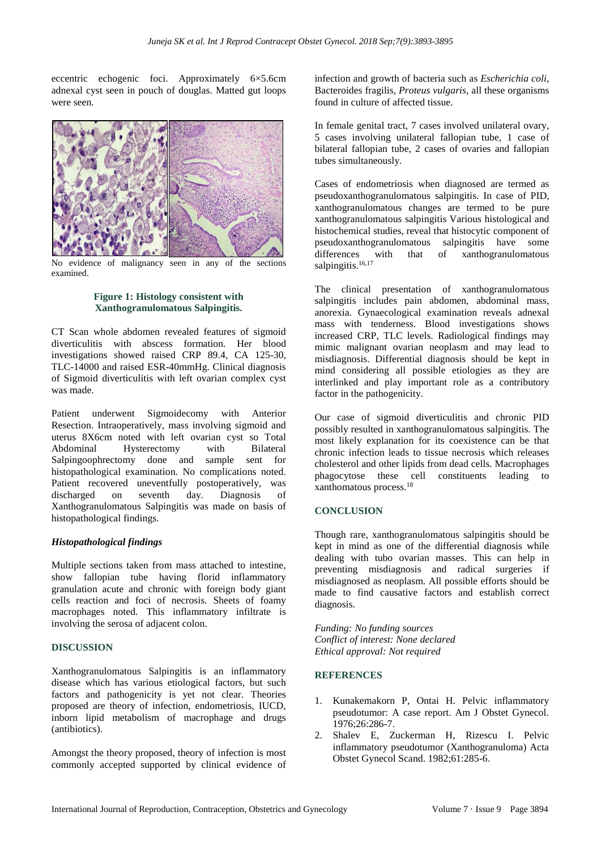eccentric echogenic foci. Approximately 6×5.6cm adnexal cyst seen in pouch of douglas. Matted gut loops were seen.



No evidence of malignancy seen in any of the sections examined.

## **Figure 1: Histology consistent with Xanthogranulomatous Salpingitis.**

CT Scan whole abdomen revealed features of sigmoid diverticulitis with abscess formation. Her blood investigations showed raised CRP 89.4, CA 125-30, TLC-14000 and raised ESR-40mmHg. Clinical diagnosis of Sigmoid diverticulitis with left ovarian complex cyst was made.

Patient underwent Sigmoidecomy with Anterior Resection. Intraoperatively, mass involving sigmoid and uterus 8X6cm noted with left ovarian cyst so Total Abdominal Hysterectomy with Bilateral Salpingoophrectomy done and sample sent for histopathological examination. No complications noted. Patient recovered uneventfully postoperatively, was discharged on seventh day. Diagnosis of Xanthogranulomatous Salpingitis was made on basis of histopathological findings.

### *Histopathological findings*

Multiple sections taken from mass attached to intestine, show fallopian tube having florid inflammatory granulation acute and chronic with foreign body giant cells reaction and foci of necrosis. Sheets of foamy macrophages noted. This inflammatory infiltrate is involving the serosa of adjacent colon.

### **DISCUSSION**

Xanthogranulomatous Salpingitis is an inflammatory disease which has various etiological factors, but such factors and pathogenicity is yet not clear. Theories proposed are theory of infection, endometriosis, IUCD, inborn lipid metabolism of macrophage and drugs (antibiotics).

Amongst the theory proposed, theory of infection is most commonly accepted supported by clinical evidence of infection and growth of bacteria such as *Escherichia coli*, Bacteroides fragilis*, Proteus vulgaris*, all these organisms found in culture of affected tissue.

In female genital tract, 7 cases involved unilateral ovary, 5 cases involving unilateral fallopian tube, 1 case of bilateral fallopian tube, 2 cases of ovaries and fallopian tubes simultaneously.

Cases of endometriosis when diagnosed are termed as pseudoxanthogranulomatous salpingitis. In case of PID, xanthogranulomatous changes are termed to be pure xanthogranulomatous salpingitis Various histological and histochemical studies, reveal that histocytic component of pseudoxanthogranulomatous salpingitis have some differences with that of xanthogranulomatous salpingitis.<sup>16,17</sup>

The clinical presentation of xanthogranulomatous salpingitis includes pain abdomen, abdominal mass, anorexia. Gynaecological examination reveals adnexal mass with tenderness. Blood investigations shows increased CRP, TLC levels. Radiological findings may mimic malignant ovarian neoplasm and may lead to misdiagnosis. Differential diagnosis should be kept in mind considering all possible etiologies as they are interlinked and play important role as a contributory factor in the pathogenicity.

Our case of sigmoid diverticulitis and chronic PID possibly resulted in xanthogranulomatous salpingitis. The most likely explanation for its coexistence can be that chronic infection leads to tissue necrosis which releases cholesterol and other lipids from dead cells. Macrophages phagocytose these cell constituents leading to xanthomatous process. 18

# **CONCLUSION**

Though rare, xanthogranulomatous salpingitis should be kept in mind as one of the differential diagnosis while dealing with tubo ovarian masses. This can help in preventing misdiagnosis and radical surgeries if misdiagnosed as neoplasm. All possible efforts should be made to find causative factors and establish correct diagnosis.

*Funding: No funding sources Conflict of interest: None declared Ethical approval: Not required*

# **REFERENCES**

- 1. Kunakemakorn P, Ontai H. Pelvic inflammatory pseudotumor: A case report. Am J Obstet Gynecol. 1976;26:286-7.
- 2. Shalev E, Zuckerman H, Rizescu I. Pelvic inflammatory pseudotumor (Xanthogranuloma) Acta Obstet Gynecol Scand. 1982;61:285-6.